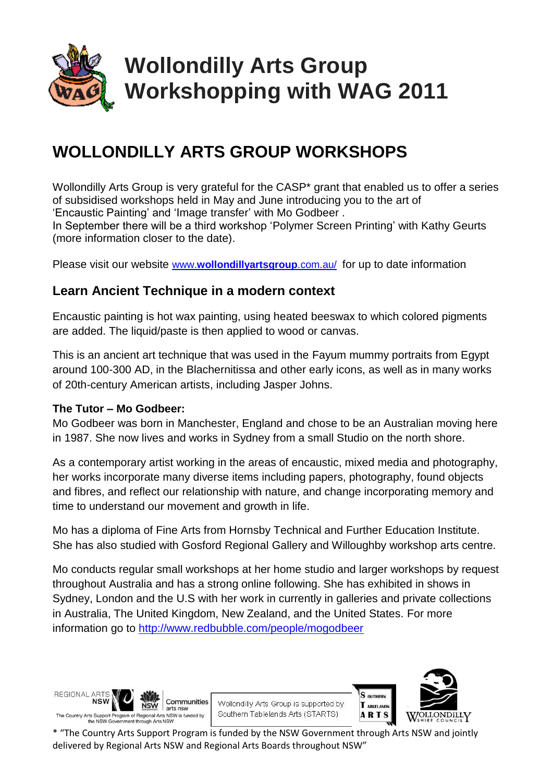

# **Wollondilly Arts Group Workshopping with WAG 2011**

# **WOLLONDILLY ARTS GROUP WORKSHOPS**

Wollondilly Arts Group is very grateful for the CASP\* grant that enabled us to offer a series of subsidised workshops held in May and June introducing you to the art of 'Encaustic Painting' and 'Image transfer' with Mo Godbeer .

In September there will be a third workshop 'Polymer Screen Printing' with Kathy Geurts (more information closer to the date).

Please visit our website www.**[wollondillyartsgroup](http://www.wollondillyartsgroup.com.au/)**.com.au/ for up to date information

# **Learn Ancient Technique in a modern context**

Encaustic painting is hot wax painting, using heated [beeswax](http://en.wikipedia.org/wiki/Beeswax) to which colored [pigments](http://en.wikipedia.org/wiki/Pigment) are added. The liquid/paste is then applied to wood or canvas.

This is an ancient art technique that was used in the [Fayum mummy portraits](http://en.wikipedia.org/wiki/Fayum_mummy_portraits) from [Egypt](http://en.wikipedia.org/wiki/Egypt) around 100-300 AD, in the [Blachernitissa](http://en.wikipedia.org/wiki/Blachernitissa) and other early icons, as well as in many works of 20th-century [American artists,](http://en.wikipedia.org/wiki/Visual_arts_of_the_United_States) including [Jasper Johns.](http://en.wikipedia.org/wiki/Jasper_Johns)

# **The Tutor – Mo Godbeer:**

Mo Godbeer was born in Manchester, England and chose to be an Australian moving here in 1987. She now lives and works in Sydney from a small Studio on the north shore.

As a contemporary artist working in the areas of encaustic, mixed media and photography, her works incorporate many diverse items including papers, photography, found objects and fibres, and reflect our relationship with nature, and change incorporating memory and time to understand our movement and growth in life.

Mo has a diploma of Fine Arts from Hornsby Technical and Further Education Institute. She has also studied with Gosford Regional Gallery and Willoughby workshop arts centre.

Mo conducts regular small workshops at her home studio and larger workshops by request throughout Australia and has a strong online following. She has exhibited in shows in Sydney, London and the U.S with her work in currently in galleries and private collections in Australia, The United Kingdom, New Zealand, and the United States. For more information go to<http://www.redbubble.com/people/mogodbeer>

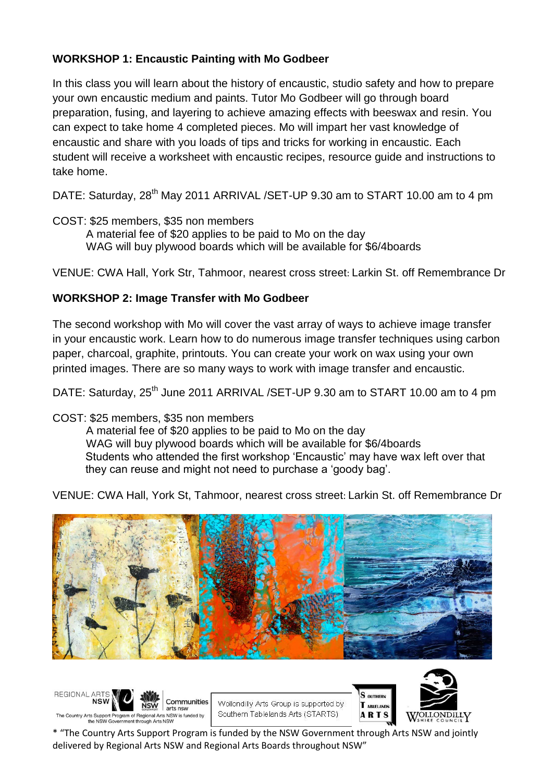# **WORKSHOP 1: Encaustic Painting with Mo Godbeer**

In this class you will learn about the history of encaustic, studio safety and how to prepare your own encaustic medium and paints. Tutor Mo Godbeer will go through board preparation, fusing, and layering to achieve amazing effects with beeswax and resin. You can expect to take home 4 completed pieces. Mo will impart her vast knowledge of encaustic and share with you loads of tips and tricks for working in encaustic. Each student will receive a worksheet with encaustic recipes, resource guide and instructions to take home.

DATE: Saturday, 28<sup>th</sup> May 2011 ARRIVAL /SET-UP 9.30 am to START 10.00 am to 4 pm

- COST: \$25 members, \$35 non members
	- A material fee of \$20 applies to be paid to Mo on the day WAG will buy plywood boards which will be available for \$6/4boards

VENUE: CWA Hall, York Str, Tahmoor, nearest cross street: Larkin St. off Remembrance Dr

# **WORKSHOP 2: Image Transfer with Mo Godbeer**

The second workshop with Mo will cover the vast array of ways to achieve image transfer in your encaustic work. Learn how to do numerous image transfer techniques using carbon paper, charcoal, graphite, printouts. You can create your work on wax using your own printed images. There are so many ways to work with image transfer and encaustic.

DATE: Saturday, 25<sup>th</sup> June 2011 ARRIVAL /SET-UP 9.30 am to START 10.00 am to 4 pm

# COST: \$25 members, \$35 non members

A material fee of \$20 applies to be paid to Mo on the day WAG will buy plywood boards which will be available for \$6/4boards Students who attended the first workshop 'Encaustic' may have wax left over that they can reuse and might not need to purchase a 'goody bag'.

VENUE: CWA Hall, York St, Tahmoor, nearest cross street: Larkin St. off Remembrance Dr



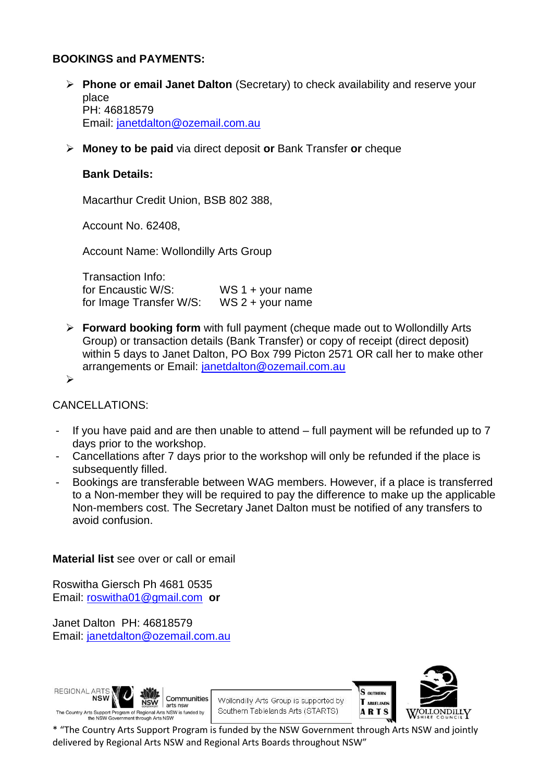#### **BOOKINGS and PAYMENTS:**

- **Phone or email Janet Dalton** (Secretary) to check availability and reserve your place PH: 46818579 Email: [janetdalton@ozemail.com.au](mailto:janetdalton@ozemail.com.au)
- **Money to be paid** via direct deposit **or** Bank Transfer **or** cheque

#### **Bank Details:**

Macarthur Credit Union, BSB 802 388,

Account No. 62408,

Account Name: Wollondilly Arts Group

Transaction Info: for Encaustic W/S: WS 1 + your name for Image Transfer W/S: WS 2 + your name

 **Forward booking form** with full payment (cheque made out to Wollondilly Arts Group) or transaction details (Bank Transfer) or copy of receipt (direct deposit) within 5 days to Janet Dalton, PO Box 799 Picton 2571 OR call her to make other arrangements or Email: [janetdalton@ozemail.com.au](mailto:janetdalton@ozemail.com.au)

 $\blacktriangleright$ 

#### CANCELLATIONS:

- If you have paid and are then unable to attend full payment will be refunded up to 7 days prior to the workshop.
- Cancellations after 7 days prior to the workshop will only be refunded if the place is subsequently filled.
- Bookings are transferable between WAG members. However, if a place is transferred to a Non-member they will be required to pay the difference to make up the applicable Non-members cost. The Secretary Janet Dalton must be notified of any transfers to avoid confusion.

#### **Material list** see over or call or email

Roswitha Giersch Ph 4681 0535 Email: [roswitha01@gmail.com](mailto:roswitha01@gmail.com) **or**

Janet Dalton PH: 46818579 Email: [janetdalton@ozemail.com.au](mailto:janetdalton@ozemail.com.au)



Wollondilly Arts Group is supported by Southern Tablelands Arts (STARTS)

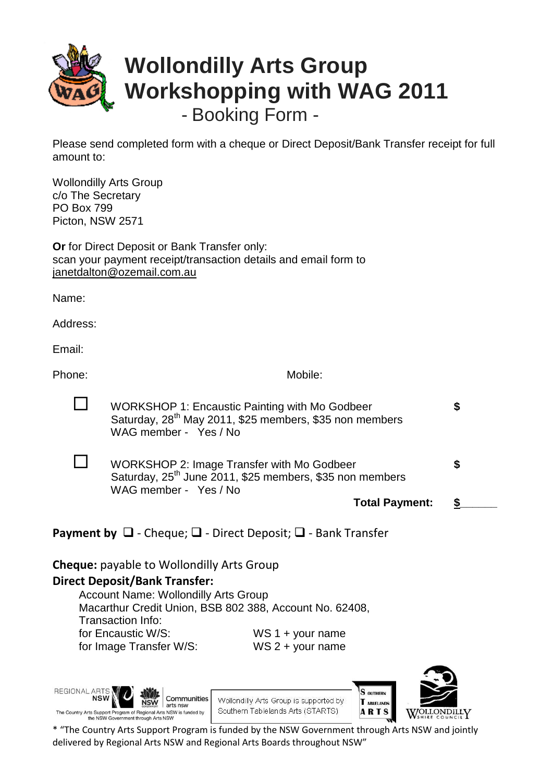

Please send completed form with a cheque or Direct Deposit/Bank Transfer receipt for full amount to:

Wollondilly Arts Group c/o The Secretary PO Box 799 Picton, NSW 2571

**Or** for Direct Deposit or Bank Transfer only: scan your payment receipt/transaction details and email form to [janetdalton@ozemail.com.au](mailto:janetdalton@ozemail.com.au)

Name:

Address:

Email:

Phone: Mobile: Mobile: Mobile: Mobile: Mobile: Mobile: Mobile: Mobile: Mobile: Mobile: Mobile: Mobile: Mobile: Mobile: Mobile: Mobile: Mobile: Mobile: Mobile: Mobile: Mobile: Mobile: Mobile: Mobile: Mobile: Mobile: Mobile:

| WORKSHOP 1: Encaustic Painting with Mo Godbeer<br>Saturday, 28 <sup>th</sup> May 2011, \$25 members, \$35 non members<br>WAG member - Yes / No |   |
|------------------------------------------------------------------------------------------------------------------------------------------------|---|
| WORKSHOP 2: Image Transfer with Mo Godbeer<br>Saturday, 25 <sup>th</sup> June 2011, \$25 members, \$35 non members<br>WAG member - Yes / No    | S |
| <b>Total Payment:</b>                                                                                                                          |   |

**Payment by**  $\Box$  - Cheque;  $\Box$  - Direct Deposit;  $\Box$  - Bank Transfer

**Cheque:** payable to Wollondilly Arts Group

# **Direct Deposit/Bank Transfer:**

Account Name: Wollondilly Arts Group Macarthur Credit Union, BSB 802 388, Account No. 62408, Transaction Info: for Encaustic W/S: WS 1 + your name for Image Transfer W/S: WS 2 + your name

REGIONAL A NSW Communities **NSW** The Country Arts Support Program of Regional Arts NSW is funded by

e NSW Government three





S OUTHERN

T ABLELANDS

**ARTS**